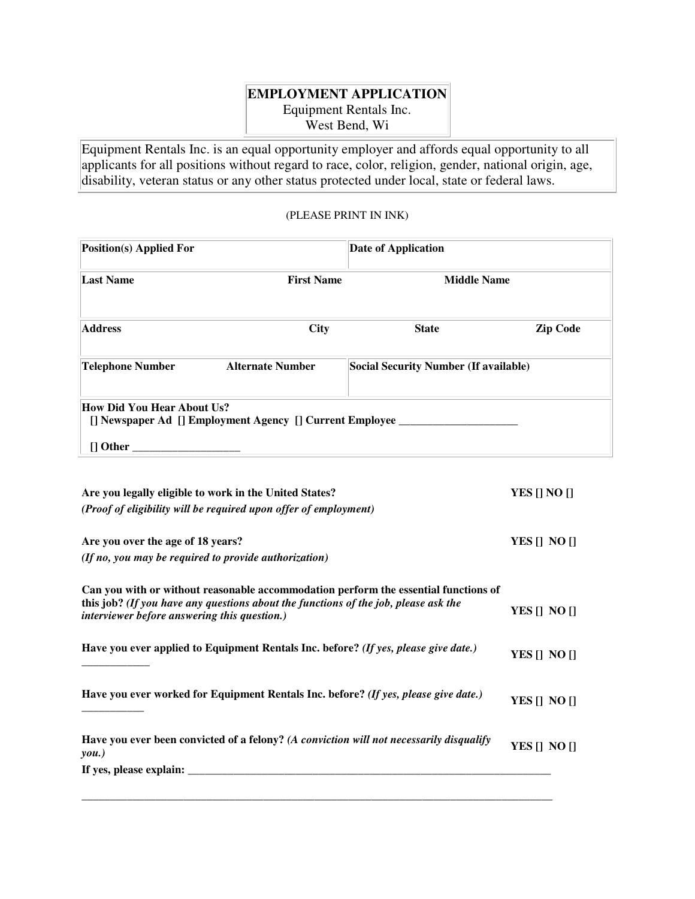# **EMPLOYMENT APPLICATION** Equipment Rentals Inc. West Bend, Wi

Equipment Rentals Inc. is an equal opportunity employer and affords equal opportunity to all applicants for all positions without regard to race, color, religion, gender, national origin, age, disability, veteran status or any other status protected under local, state or federal laws.

# (PLEASE PRINT IN INK)

| Position(s) Applied For                                                                                        |                         | <b>Date of Application</b>                   |                 |  |  |  |
|----------------------------------------------------------------------------------------------------------------|-------------------------|----------------------------------------------|-----------------|--|--|--|
| Last Name                                                                                                      | <b>First Name</b>       | <b>Middle Name</b>                           |                 |  |  |  |
| <b>Address</b>                                                                                                 | <b>City</b>             | <b>State</b>                                 | <b>Zip Code</b> |  |  |  |
| <b>Telephone Number</b>                                                                                        | <b>Alternate Number</b> | <b>Social Security Number (If available)</b> |                 |  |  |  |
| How Did You Hear About Us?<br>[] Newspaper Ad [] Employment Agency [] Current Employee _______<br>$\Box$ Other |                         |                                              |                 |  |  |  |

| Are you legally eligible to work in the United States?                                                                                                                     | YES $[ NO ]$ |
|----------------------------------------------------------------------------------------------------------------------------------------------------------------------------|--------------|
| ( <i>Proof of eligibility will be required upon offer of employment</i> )                                                                                                  |              |
| Are you over the age of 18 years?                                                                                                                                          | YES [] NO [] |
| (If no, you may be required to provide authorization)                                                                                                                      |              |
|                                                                                                                                                                            |              |
| Can you with or without reasonable accommodation perform the essential functions of<br>this job? (If you have any questions about the functions of the job, please ask the |              |
| interviewer before answering this question.)                                                                                                                               | YES $[ NO ]$ |
|                                                                                                                                                                            |              |
| Have you ever applied to Equipment Rentals Inc. before? (If yes, please give date.)                                                                                        | YES $[ NO ]$ |
|                                                                                                                                                                            |              |
| Have you ever worked for Equipment Rentals Inc. before? (If yes, please give date.)                                                                                        |              |
|                                                                                                                                                                            | YES [] NO [] |
|                                                                                                                                                                            |              |
| Have you ever been convicted of a felony? (A conviction will not necessarily disqualify<br>you.)                                                                           | YES $[ NO ]$ |
|                                                                                                                                                                            |              |
|                                                                                                                                                                            |              |

**\_\_\_\_\_\_\_\_\_\_\_\_\_\_\_\_\_\_\_\_\_\_\_\_\_\_\_\_\_\_\_\_\_\_\_\_\_\_\_\_\_\_\_\_\_\_\_\_\_\_\_\_\_\_\_\_\_\_\_\_\_\_\_\_\_\_\_\_\_\_\_\_\_\_\_\_\_\_\_\_\_\_\_**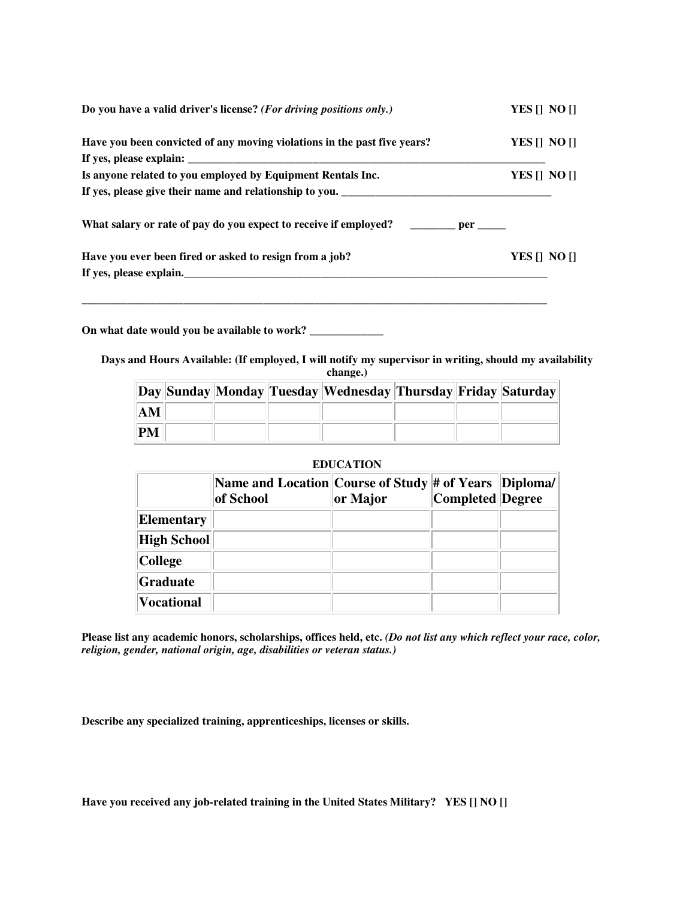| Do you have a valid driver's license? (For driving positions only.)                    | YES [] NO [] |  |
|----------------------------------------------------------------------------------------|--------------|--|
| Have you been convicted of any moving violations in the past five years?               | YES II NO II |  |
|                                                                                        |              |  |
| Is anyone related to you employed by Equipment Rentals Inc.                            | YES [] NO [] |  |
| If yes, please give their name and relationship to you.                                |              |  |
| What salary or rate of pay do you expect to receive if employed? __________ per ______ |              |  |
| Have you ever been fired or asked to resign from a job?                                | YES [] NO [] |  |
|                                                                                        |              |  |
|                                                                                        |              |  |
|                                                                                        |              |  |

**On what date would you be available to work? \_\_\_\_\_\_\_\_\_\_\_\_\_** 

**Days and Hours Available: (If employed, I will notify my supervisor in writing, should my availability change.)**

|    |  | Day Sunday Monday Tuesday   Wednesday   Thursday   Friday   Saturday |  |  |
|----|--|----------------------------------------------------------------------|--|--|
| AM |  |                                                                      |  |  |
| PM |  |                                                                      |  |  |

# **EDUCATION**

|                   | Name and Location Course of Study # of Years   Diploma/<br>of School | or Major | Completed Degree |  |
|-------------------|----------------------------------------------------------------------|----------|------------------|--|
| <b>Elementary</b> |                                                                      |          |                  |  |
| High School       |                                                                      |          |                  |  |
| <b>College</b>    |                                                                      |          |                  |  |
| Graduate          |                                                                      |          |                  |  |
| <b>Vocational</b> |                                                                      |          |                  |  |

**Please list any academic honors, scholarships, offices held, etc.** *(Do not list any which reflect your race, color, religion, gender, national origin, age, disabilities or veteran status.)*

**Describe any specialized training, apprenticeships, licenses or skills.** 

**Have you received any job-related training in the United States Military? YES [] NO []**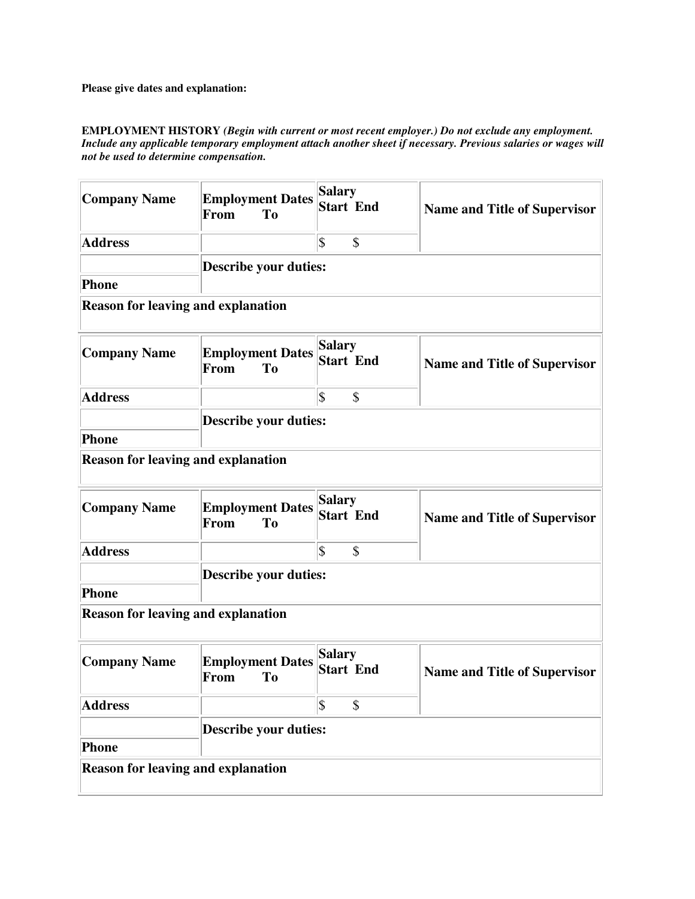**Please give dates and explanation:** 

#### **EMPLOYMENT HISTORY** *(Begin with current or most recent employer.) Do not exclude any employment. Include any applicable temporary employment attach another sheet if necessary. Previous salaries or wages will not be used to determine compensation.*

| <b>Company Name</b>                       | <b>Employment Dates</b><br>From<br>T <sub>0</sub> | <b>Salary</b><br><b>Start End</b> | <b>Name and Title of Supervisor</b> |  |  |
|-------------------------------------------|---------------------------------------------------|-----------------------------------|-------------------------------------|--|--|
| <b>Address</b>                            |                                                   | \$<br>\$                          |                                     |  |  |
|                                           | Describe your duties:                             |                                   |                                     |  |  |
| Phone                                     |                                                   |                                   |                                     |  |  |
| <b>Reason for leaving and explanation</b> |                                                   |                                   |                                     |  |  |
| <b>Company Name</b>                       | <b>Employment Dates</b><br>T <sub>o</sub><br>From | <b>Salary</b><br><b>Start End</b> | <b>Name and Title of Supervisor</b> |  |  |
| <b>Address</b>                            |                                                   | $\boldsymbol{\mathsf{S}}$<br>\$   |                                     |  |  |
|                                           | <b>Describe your duties:</b>                      |                                   |                                     |  |  |
| Phone                                     |                                                   |                                   |                                     |  |  |
| <b>Reason for leaving and explanation</b> |                                                   |                                   |                                     |  |  |
| <b>Company Name</b>                       | <b>Employment Dates</b><br>From<br>To             | Salary<br><b>Start End</b>        | <b>Name and Title of Supervisor</b> |  |  |
| <b>Address</b>                            |                                                   | $\boldsymbol{\mathsf{S}}$<br>\$   |                                     |  |  |
|                                           | <b>Describe your duties:</b>                      |                                   |                                     |  |  |
| Phone                                     |                                                   |                                   |                                     |  |  |
| <b>Reason for leaving and explanation</b> |                                                   |                                   |                                     |  |  |
| <b>Company Name</b>                       | <b>Employment Dates</b><br>T <sub>o</sub><br>From | <b>Salary</b><br><b>Start End</b> | <b>Name and Title of Supervisor</b> |  |  |
| <b>Address</b>                            |                                                   | $ \boldsymbol{\mathsf{S}} $<br>\$ |                                     |  |  |
|                                           | <b>Describe your duties:</b>                      |                                   |                                     |  |  |
| Phone                                     |                                                   |                                   |                                     |  |  |
| <b>Reason for leaving and explanation</b> |                                                   |                                   |                                     |  |  |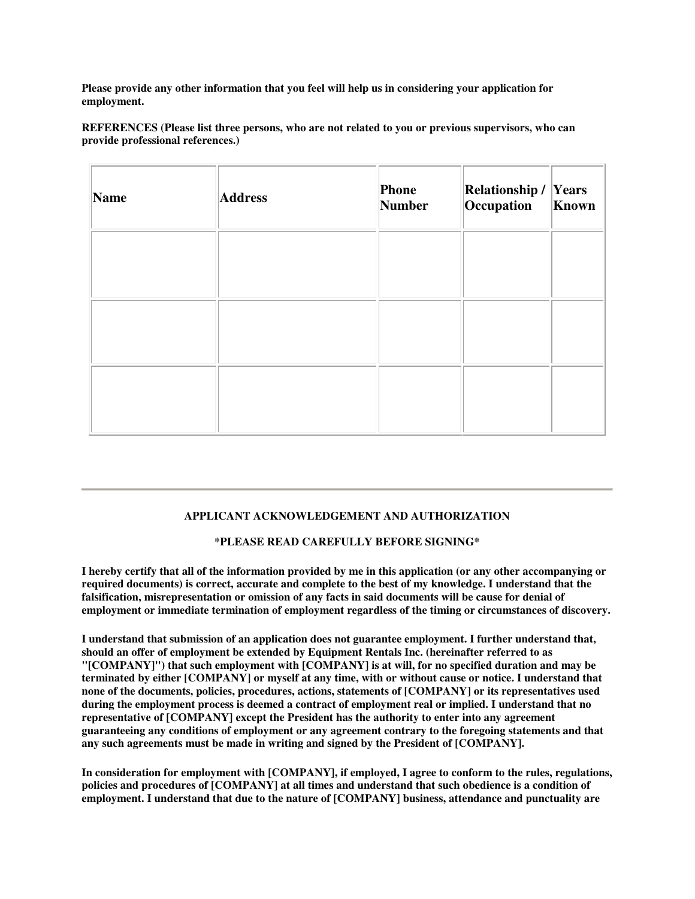**Please provide any other information that you feel will help us in considering your application for employment.** 

**REFERENCES (Please list three persons, who are not related to you or previous supervisors, who can provide professional references.)** 

| Name | <b>Address</b> | Phone<br>Number | <b>Relationship / Years</b><br>Occupation | Known |
|------|----------------|-----------------|-------------------------------------------|-------|
|      |                |                 |                                           |       |
|      |                |                 |                                           |       |
|      |                |                 |                                           |       |

# **APPLICANT ACKNOWLEDGEMENT AND AUTHORIZATION**

# **\*PLEASE READ CAREFULLY BEFORE SIGNING\***

**I hereby certify that all of the information provided by me in this application (or any other accompanying or required documents) is correct, accurate and complete to the best of my knowledge. I understand that the falsification, misrepresentation or omission of any facts in said documents will be cause for denial of employment or immediate termination of employment regardless of the timing or circumstances of discovery.** 

**I understand that submission of an application does not guarantee employment. I further understand that, should an offer of employment be extended by Equipment Rentals Inc. (hereinafter referred to as "[COMPANY]") that such employment with [COMPANY] is at will, for no specified duration and may be terminated by either [COMPANY] or myself at any time, with or without cause or notice. I understand that none of the documents, policies, procedures, actions, statements of [COMPANY] or its representatives used during the employment process is deemed a contract of employment real or implied. I understand that no representative of [COMPANY] except the President has the authority to enter into any agreement guaranteeing any conditions of employment or any agreement contrary to the foregoing statements and that any such agreements must be made in writing and signed by the President of [COMPANY].** 

**In consideration for employment with [COMPANY], if employed, I agree to conform to the rules, regulations, policies and procedures of [COMPANY] at all times and understand that such obedience is a condition of employment. I understand that due to the nature of [COMPANY] business, attendance and punctuality are**